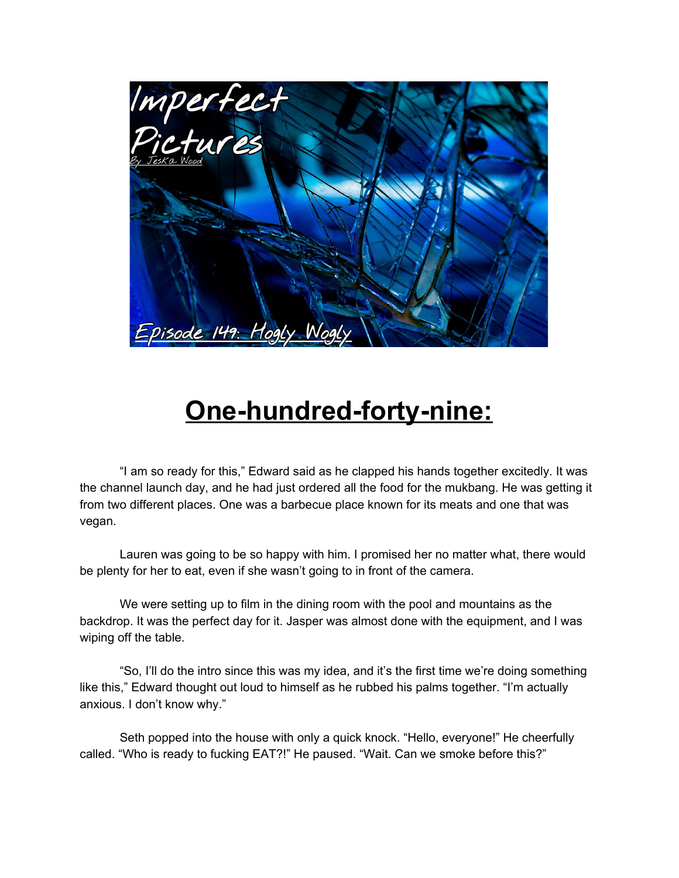

## **One-hundred-forty-nine:**

"I am so ready for this," Edward said as he clapped his hands together excitedly. It was the channel launch day, and he had just ordered all the food for the mukbang. He was getting it from two different places. One was a barbecue place known for its meats and one that was vegan.

Lauren was going to be so happy with him. I promised her no matter what, there would be plenty for her to eat, even if she wasn't going to in front of the camera.

We were setting up to film in the dining room with the pool and mountains as the backdrop. It was the perfect day for it. Jasper was almost done with the equipment, and I was wiping off the table.

"So, I'll do the intro since this was my idea, and it's the first time we're doing something like this," Edward thought out loud to himself as he rubbed his palms together. "I'm actually anxious. I don't know why."

Seth popped into the house with only a quick knock. "Hello, everyone!" He cheerfully called. "Who is ready to fucking EAT?!" He paused. "Wait. Can we smoke before this?"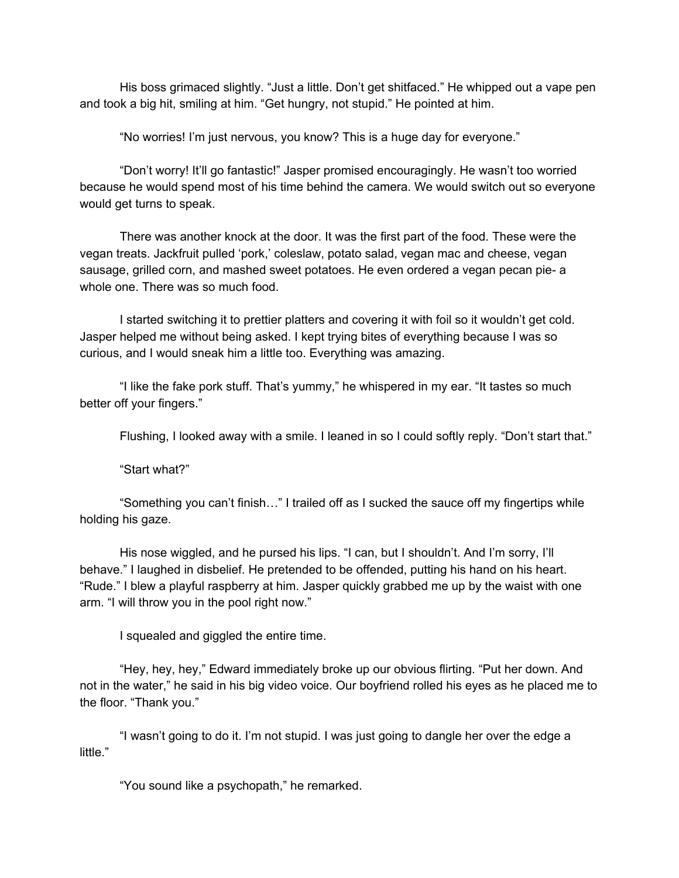His boss grimaced slightly. "Just a little. Don't get shitfaced." He whipped out a vape pen and took a big hit, smiling at him. "Get hungry, not stupid." He pointed at him.

"No worries! I'm just nervous, you know? This is a huge day for everyone."

"Don't worry! It'll go fantastic!" Jasper promised encouragingly. He wasn't too worried because he would spend most of his time behind the camera. We would switch out so everyone would get turns to speak.

There was another knock at the door. It was the first part of the food. These were the vegan treats. Jackfruit pulled 'pork,' coleslaw, potato salad, vegan mac and cheese, vegan sausage, grilled corn, and mashed sweet potatoes. He even ordered a vegan pecan pie- a whole one. There was so much food.

I started switching it to prettier platters and covering it with foil so it wouldn't get cold. Jasper helped me without being asked. I kept trying bites of everything because I was so curious, and I would sneak him a little too. Everything was amazing.

"I like the fake pork stuff. That's yummy," he whispered in my ear. "It tastes so much better off your fingers."

Flushing, I looked away with a smile. I leaned in so I could softly reply. "Don't start that."

"Start what?"

"Something you can't finish…" I trailed off as I sucked the sauce off my fingertips while holding his gaze.

His nose wiggled, and he pursed his lips. "I can, but I shouldn't. And I'm sorry, I'll behave." I laughed in disbelief. He pretended to be offended, putting his hand on his heart. "Rude." I blew a playful raspberry at him. Jasper quickly grabbed me up by the waist with one arm. "I will throw you in the pool right now."

I squealed and giggled the entire time.

"Hey, hey, hey," Edward immediately broke up our obvious flirting. "Put her down. And not in the water," he said in his big video voice. Our boyfriend rolled his eyes as he placed me to the floor. "Thank you."

"I wasn't going to do it. I'm not stupid. I was just going to dangle her over the edge a little."

"You sound like a psychopath," he remarked.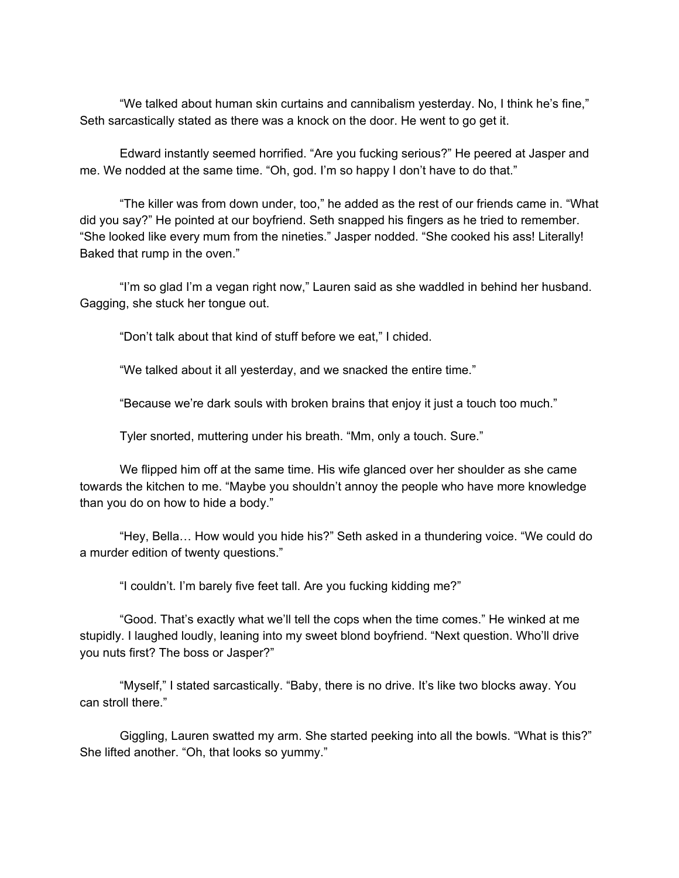"We talked about human skin curtains and cannibalism yesterday. No, I think he's fine," Seth sarcastically stated as there was a knock on the door. He went to go get it.

Edward instantly seemed horrified. "Are you fucking serious?" He peered at Jasper and me. We nodded at the same time. "Oh, god. I'm so happy I don't have to do that."

"The killer was from down under, too," he added as the rest of our friends came in. "What did you say?" He pointed at our boyfriend. Seth snapped his fingers as he tried to remember. "She looked like every mum from the nineties." Jasper nodded. "She cooked his ass! Literally! Baked that rump in the oven."

"I'm so glad I'm a vegan right now," Lauren said as she waddled in behind her husband. Gagging, she stuck her tongue out.

"Don't talk about that kind of stuff before we eat," I chided.

"We talked about it all yesterday, and we snacked the entire time."

"Because we're dark souls with broken brains that enjoy it just a touch too much."

Tyler snorted, muttering under his breath. "Mm, only a touch. Sure."

We flipped him off at the same time. His wife glanced over her shoulder as she came towards the kitchen to me. "Maybe you shouldn't annoy the people who have more knowledge than you do on how to hide a body."

"Hey, Bella… How would you hide his?" Seth asked in a thundering voice. "We could do a murder edition of twenty questions."

"I couldn't. I'm barely five feet tall. Are you fucking kidding me?"

"Good. That's exactly what we'll tell the cops when the time comes." He winked at me stupidly. I laughed loudly, leaning into my sweet blond boyfriend. "Next question. Who'll drive you nuts first? The boss or Jasper?"

"Myself," I stated sarcastically. "Baby, there is no drive. It's like two blocks away. You can stroll there."

Giggling, Lauren swatted my arm. She started peeking into all the bowls. "What is this?" She lifted another. "Oh, that looks so yummy."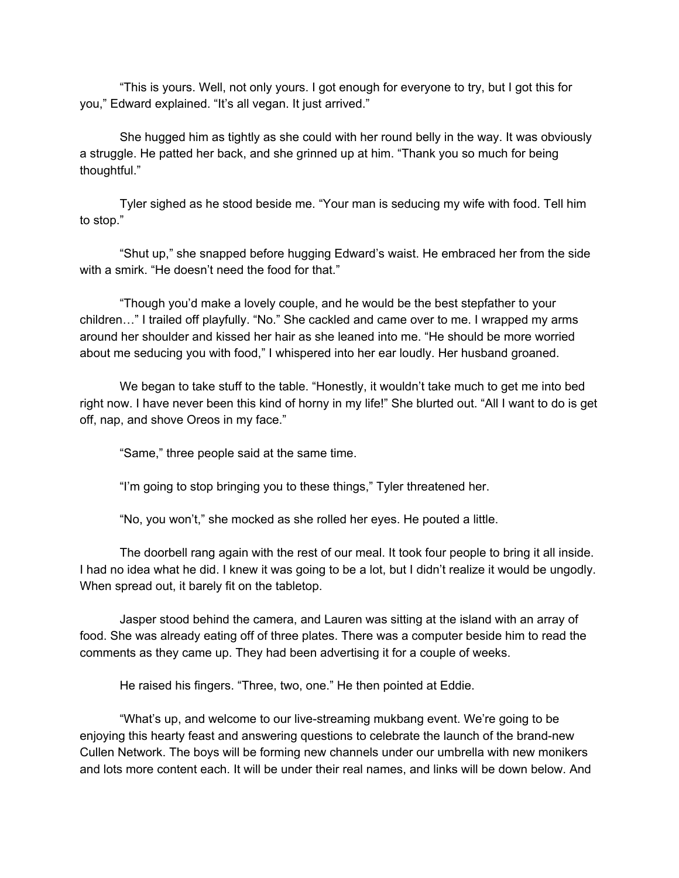"This is yours. Well, not only yours. I got enough for everyone to try, but I got this for you," Edward explained. "It's all vegan. It just arrived."

She hugged him as tightly as she could with her round belly in the way. It was obviously a struggle. He patted her back, and she grinned up at him. "Thank you so much for being thoughtful."

Tyler sighed as he stood beside me. "Your man is seducing my wife with food. Tell him to stop."

"Shut up," she snapped before hugging Edward's waist. He embraced her from the side with a smirk. "He doesn't need the food for that."

"Though you'd make a lovely couple, and he would be the best stepfather to your children…" I trailed off playfully. "No." She cackled and came over to me. I wrapped my arms around her shoulder and kissed her hair as she leaned into me. "He should be more worried about me seducing you with food," I whispered into her ear loudly. Her husband groaned.

We began to take stuff to the table. "Honestly, it wouldn't take much to get me into bed right now. I have never been this kind of horny in my life!" She blurted out. "All I want to do is get off, nap, and shove Oreos in my face."

"Same," three people said at the same time.

"I'm going to stop bringing you to these things," Tyler threatened her.

"No, you won't," she mocked as she rolled her eyes. He pouted a little.

The doorbell rang again with the rest of our meal. It took four people to bring it all inside. I had no idea what he did. I knew it was going to be a lot, but I didn't realize it would be ungodly. When spread out, it barely fit on the tabletop.

Jasper stood behind the camera, and Lauren was sitting at the island with an array of food. She was already eating off of three plates. There was a computer beside him to read the comments as they came up. They had been advertising it for a couple of weeks.

He raised his fingers. "Three, two, one." He then pointed at Eddie.

"What's up, and welcome to our live-streaming mukbang event. We're going to be enjoying this hearty feast and answering questions to celebrate the launch of the brand-new Cullen Network. The boys will be forming new channels under our umbrella with new monikers and lots more content each. It will be under their real names, and links will be down below. And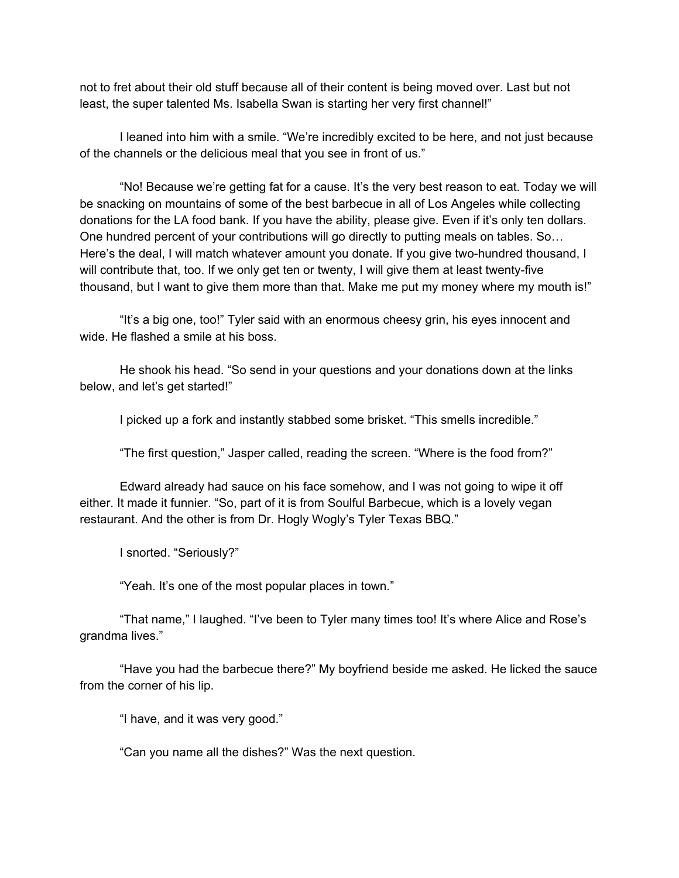not to fret about their old stuff because all of their content is being moved over. Last but not least, the super talented Ms. Isabella Swan is starting her very first channel!"

I leaned into him with a smile. "We're incredibly excited to be here, and not just because of the channels or the delicious meal that you see in front of us."

"No! Because we're getting fat for a cause. It's the very best reason to eat. Today we will be snacking on mountains of some of the best barbecue in all of Los Angeles while collecting donations for the LA food bank. If you have the ability, please give. Even if it's only ten dollars. One hundred percent of your contributions will go directly to putting meals on tables. So… Here's the deal, I will match whatever amount you donate. If you give two-hundred thousand, I will contribute that, too. If we only get ten or twenty, I will give them at least twenty-five thousand, but I want to give them more than that. Make me put my money where my mouth is!"

"It's a big one, too!" Tyler said with an enormous cheesy grin, his eyes innocent and wide. He flashed a smile at his boss.

He shook his head. "So send in your questions and your donations down at the links below, and let's get started!"

I picked up a fork and instantly stabbed some brisket. "This smells incredible."

"The first question," Jasper called, reading the screen. "Where is the food from?"

Edward already had sauce on his face somehow, and I was not going to wipe it off either. It made it funnier. "So, part of it is from Soulful Barbecue, which is a lovely vegan restaurant. And the other is from Dr. Hogly Wogly's Tyler Texas BBQ."

I snorted. "Seriously?"

"Yeah. It's one of the most popular places in town."

"That name," I laughed. "I've been to Tyler many times too! It's where Alice and Rose's grandma lives."

"Have you had the barbecue there?" My boyfriend beside me asked. He licked the sauce from the corner of his lip.

"I have, and it was very good."

"Can you name all the dishes?" Was the next question.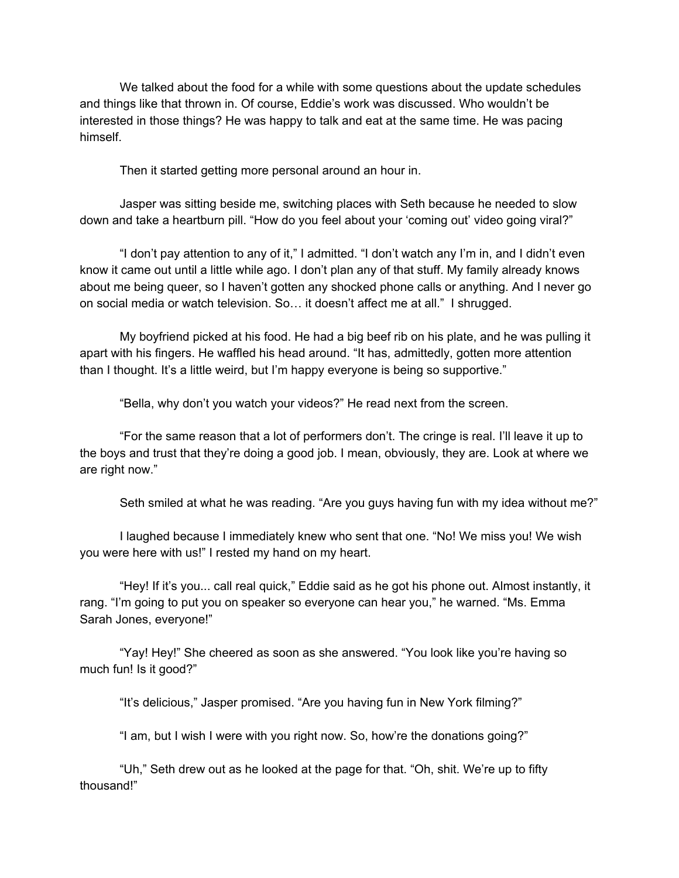We talked about the food for a while with some questions about the update schedules and things like that thrown in. Of course, Eddie's work was discussed. Who wouldn't be interested in those things? He was happy to talk and eat at the same time. He was pacing himself.

Then it started getting more personal around an hour in.

Jasper was sitting beside me, switching places with Seth because he needed to slow down and take a heartburn pill. "How do you feel about your 'coming out' video going viral?"

"I don't pay attention to any of it," I admitted. "I don't watch any I'm in, and I didn't even know it came out until a little while ago. I don't plan any of that stuff. My family already knows about me being queer, so I haven't gotten any shocked phone calls or anything. And I never go on social media or watch television. So… it doesn't affect me at all." I shrugged.

My boyfriend picked at his food. He had a big beef rib on his plate, and he was pulling it apart with his fingers. He waffled his head around. "It has, admittedly, gotten more attention than I thought. It's a little weird, but I'm happy everyone is being so supportive."

"Bella, why don't you watch your videos?" He read next from the screen.

"For the same reason that a lot of performers don't. The cringe is real. I'll leave it up to the boys and trust that they're doing a good job. I mean, obviously, they are. Look at where we are right now."

Seth smiled at what he was reading. "Are you guys having fun with my idea without me?"

I laughed because I immediately knew who sent that one. "No! We miss you! We wish you were here with us!" I rested my hand on my heart.

"Hey! If it's you... call real quick," Eddie said as he got his phone out. Almost instantly, it rang. "I'm going to put you on speaker so everyone can hear you," he warned. "Ms. Emma Sarah Jones, everyone!"

"Yay! Hey!" She cheered as soon as she answered. "You look like you're having so much fun! Is it good?"

"It's delicious," Jasper promised. "Are you having fun in New York filming?"

"I am, but I wish I were with you right now. So, how're the donations going?"

"Uh," Seth drew out as he looked at the page for that. "Oh, shit. We're up to fifty thousand!"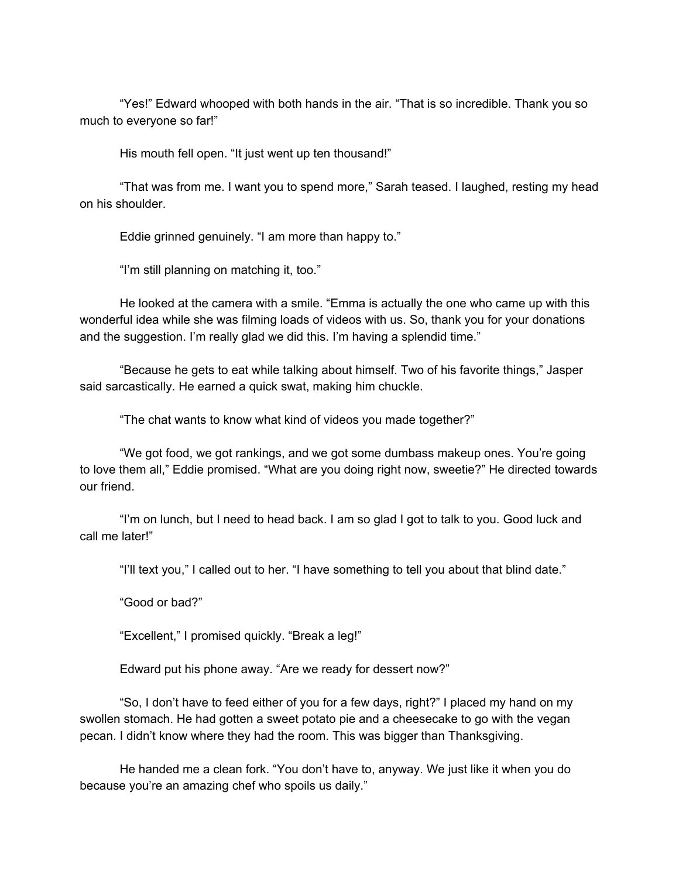"Yes!" Edward whooped with both hands in the air. "That is so incredible. Thank you so much to everyone so far!"

His mouth fell open. "It just went up ten thousand!"

"That was from me. I want you to spend more," Sarah teased. I laughed, resting my head on his shoulder.

Eddie grinned genuinely. "I am more than happy to."

"I'm still planning on matching it, too."

He looked at the camera with a smile. "Emma is actually the one who came up with this wonderful idea while she was filming loads of videos with us. So, thank you for your donations and the suggestion. I'm really glad we did this. I'm having a splendid time."

"Because he gets to eat while talking about himself. Two of his favorite things," Jasper said sarcastically. He earned a quick swat, making him chuckle.

"The chat wants to know what kind of videos you made together?"

"We got food, we got rankings, and we got some dumbass makeup ones. You're going to love them all," Eddie promised. "What are you doing right now, sweetie?" He directed towards our friend.

"I'm on lunch, but I need to head back. I am so glad I got to talk to you. Good luck and call me later!"

"I'll text you," I called out to her. "I have something to tell you about that blind date."

"Good or bad?"

"Excellent," I promised quickly. "Break a leg!"

Edward put his phone away. "Are we ready for dessert now?"

"So, I don't have to feed either of you for a few days, right?" I placed my hand on my swollen stomach. He had gotten a sweet potato pie and a cheesecake to go with the vegan pecan. I didn't know where they had the room. This was bigger than Thanksgiving.

He handed me a clean fork. "You don't have to, anyway. We just like it when you do because you're an amazing chef who spoils us daily."